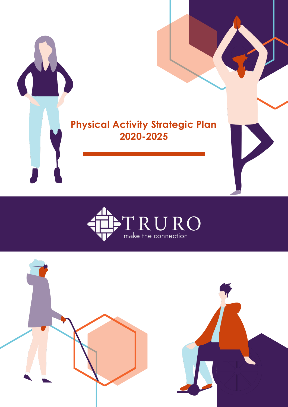



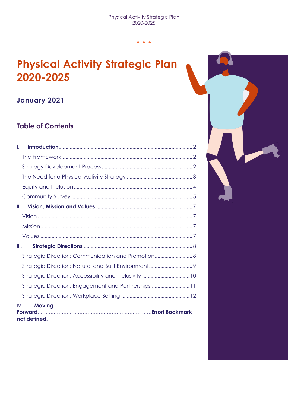## **Physical Activity Strategic Plan 2020-2025**

## **January 2021**

## **Table of Contents**

| $\mathbf{L}$  |                                                        |  |
|---------------|--------------------------------------------------------|--|
|               |                                                        |  |
|               |                                                        |  |
|               |                                                        |  |
|               |                                                        |  |
|               |                                                        |  |
| $\parallel$ . |                                                        |  |
|               |                                                        |  |
|               |                                                        |  |
|               |                                                        |  |
| III.          |                                                        |  |
|               | Strategic Direction: Communication and Promotion       |  |
|               |                                                        |  |
|               | Strategic Direction: Accessibility and Inclusivity  10 |  |
|               | Strategic Direction: Engagement and Partnerships 11    |  |
|               |                                                        |  |
| IV.           | <b>Moving</b><br>not defined.                          |  |

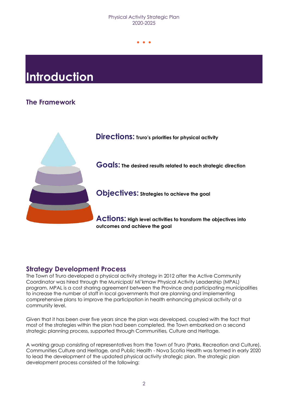#### Physical Activity Strategic Plan 2020-2025

…<br>…

# <span id="page-2-0"></span>**Introduction**

## <span id="page-2-1"></span>**The Framework**



### <span id="page-2-2"></span>**Strategy Development Process**

The Town of Truro developed a physical activity strategy in 2012 after the Active Community Coordinator was hired through the Municipal/ Mi'kmaw Physical Activity Leadership (MPAL) program. MPAL is a cost sharing agreement between the Province and participating municipalities to increase the number of staff in local governments that are planning and implementing comprehensive plans to improve the participation in health enhancing physical activity at a community level.

Given that it has been over five years since the plan was developed, coupled with the fact that most of the strategies within the plan had been completed, the Town embarked on a second strategic planning process, supported through Communities, Culture and Heritage.

A working group consisting of representatives from the Town of Truro (Parks, Recreation and Culture), Communities Culture and Heritage, and Public Health - Nova Scotia Health was formed in early 2020 to lead the development of the updated physical activity strategic plan. The strategic plan development process consisted of the following: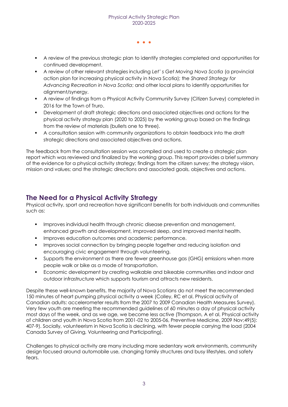- A review of the previous strategic plan to identify strategies completed and opportunities for continued development.
- A review of other relevant strategies including *Let' s Get Moving Nova Scotia* (a provincial action plan for increasing physical activity in Nova Scotia); the *Shared Strategy for Advancing Recreation in Nova Scotia*; and other local plans to identify opportunities for alignment/synergy.
- **•** A review of findings from a Physical Activity Community Survey (Citizen Survey) completed in 2016 for the Town of Truro.
- Development of draft strategic directions and associated objectives and actions for the physical activity strategy plan (2020 to 2025) by the working group based on the findings from the review of materials (bullets one to three).
- A consultation session with community organizations to obtain feedback into the draft strategic directions and associated objectives and actions.

The feedback from the consultation session was compiled and used to create a strategic plan report which was reviewed and finalized by the working group. This report provides a brief summary of the evidence for a physical activity strategy; findings from the citizen survey; the strategy vision, mission and values; and the strategic directions and associated goals, objectives and actions.

### <span id="page-3-0"></span>**The Need for a Physical Activity Strategy**

Physical activity, sport and recreation have significant benefits for both individuals and communities such as:

- **·** Improves individual health through chronic disease prevention and management, enhanced growth and development, improved sleep, and improved mental health.
- Improves education outcomes and academic performance.
- Improves social connection by bringing people together and reducing isolation and encouraging civic engagement through volunteering.
- **•** Supports the environment as there are fewer greenhouse gas (GHG) emissions when more people walk or bike as a mode of transportation.
- Economic development by creating walkable and bikeable communities and indoor and outdoor infrastructure which supports tourism and attracts new residents.

Despite these well-known benefits, the majority of Nova Scotians do not meet the recommended 150 minutes of heart pumping physical activity a week (Colley, RC et al, Physical activity of Canadian adults: accelerometer results from the 2007 to 2009 Canadian Health Measures Survey). Very few youth are meeting the recommended guidelines of 60 minutes a day of physical activity most days of the week, and as we age, we become less active (Thompson, A et al, Physical activity of children and youth in Nova Scotia from 2001-02 to 2005-06, Preventive Medicine, 2009 Nov;49(5): 407-9). Socially, volunteerism in Nova Scotia is declining, with fewer people carrying the load (2004 Canada Survey of Giving, Volunteering and Participating).

Challenges to physical activity are many including more sedentary work environments, community design focused around automobile use, changing family structures and busy lifestyles, and safety fears.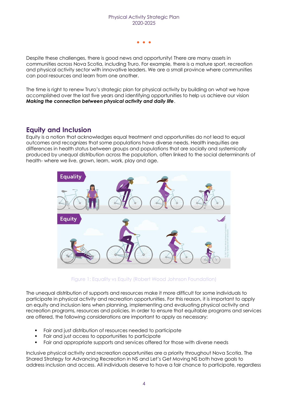Despite these challenges, there is good news and opportunity! There are many assets in communities across Nova Scotia, including Truro. For example, there is a mature sport, recreation and physical activity sector with innovative leaders. We are a small province where communities can pool resources and learn from one another.

The time is right to renew Truro's strategic plan for physical activity by building on what we have accomplished over the last five years and identifying opportunities to help us achieve our vision *Making the connection between physical activity and daily life*.

### <span id="page-4-0"></span>**Equity and Inclusion**

Equity is a notion that acknowledges equal treatment and opportunities do not lead to equal outcomes and recognizes that some populations have diverse needs. Health inequities are differences in health status between groups and populations that are socially and systemically produced by unequal distribution across the population, often linked to the social determinants of health- where we live, grown, learn, work, play and age.



Figure 1: Equality vs Equity (Robert Wood Johnson Foundation)

The unequal distribution of supports and resources make it more difficult for some individuals to participate in physical activity and recreation opportunities. For this reason, it is important to apply an equity and inclusion lens when planning, implementing and evaluating physical activity and recreation programs, resources and policies. In order to ensure that equitable programs and services are offered, the following considerations are important to apply as necessary:

- Fair and just distribution of resources needed to participate
- Fair and just access to opportunities to participate
- Fair and appropriate supports and services offered for those with diverse needs

Inclusive physical activity and recreation opportunities are a priority throughout Nova Scotia. The Shared Strategy for Advancing Recreation in NS and Let's Get Moving NS both have goals to address inclusion and access. All individuals deserve to have a fair chance to participate, regardless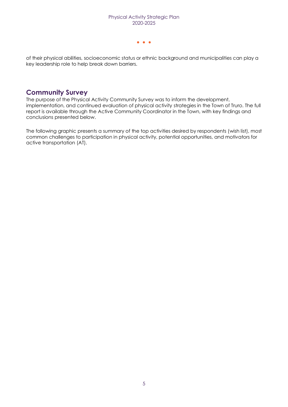of their physical abilities, socioeconomic status or ethnic background and municipalities can play a key leadership role to help break down barriers.

### <span id="page-5-0"></span>**Community Survey**

The purpose of the Physical Activity Community Survey was to inform the development, implementation, and continued evaluation of physical activity strategies in the Town of Truro. The full report is available through the Active Community Coordinator in the Town, with key findings and conclusions presented below.

The following graphic presents a summary of the top activities desired by respondents (wish list), most common challenges to participation in physical activity, potential opportunities, and motivators for active transportation (AT).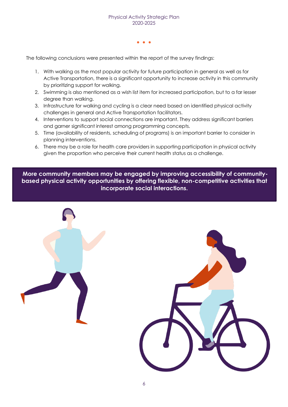The following conclusions were presented within the report of the survey findings:

- 1. With walking as the most popular activity for future participation in general as well as for Active Transportation, there is a significant opportunity to increase activity in this community by prioritizing support for walking.
- 2. Swimming is also mentioned as a wish list item for increased participation, but to a far lesser degree than walking.
- 3. Infrastructure for walking and cycling is a clear need based on identified physical activity challenges in general and Active Transportation facilitators.
- 4. Interventions to support social connections are important. They address significant barriers and garner significant interest among programming concepts.
- 5. Time (availability of residents, scheduling of programs) is an important barrier to consider in planning interventions.
- 6. There may be a role for health care providers in supporting participation in physical activity given the proportion who perceive their current health status as a challenge.

**More community members may be engaged by improving accessibility of communitybased physical activity opportunities by offering flexible, non-competitive activities that incorporate social interactions.**

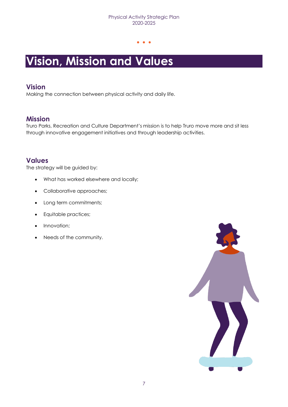# <span id="page-7-0"></span>**Vision, Mission and Values**

### <span id="page-7-1"></span>**Vision**

Making the connection between physical activity and daily life.

### <span id="page-7-2"></span>**Mission**

Truro Parks, Recreation and Culture Department's mission is to help Truro move more and sit less through innovative engagement initiatives and through leadership activities.

### <span id="page-7-3"></span>**Values**

The strategy will be guided by:

- What has worked elsewhere and locally;
- Collaborative approaches;
- Long term commitments;
- Equitable practices;
- Innovation;
- Needs of the community.

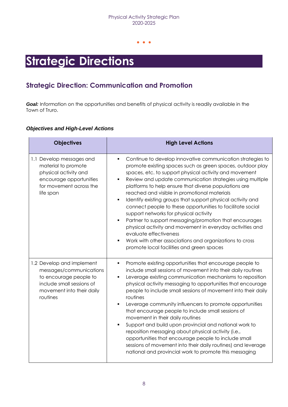## <span id="page-8-0"></span>**Strategic Directions**

## <span id="page-8-1"></span>**Strategic Direction: Communication and Promotion**

*Goal:* Information on the opportunities and benefits of physical activity is readily available in the Town of Truro.

| <b>Objectives</b>                                                                                                                                    | <b>High Level Actions</b>                                                                                                                                                                                                                                                                                                                                                                                                                                                                                                                                                                                                                                                                                                                                                                                                                                |
|------------------------------------------------------------------------------------------------------------------------------------------------------|----------------------------------------------------------------------------------------------------------------------------------------------------------------------------------------------------------------------------------------------------------------------------------------------------------------------------------------------------------------------------------------------------------------------------------------------------------------------------------------------------------------------------------------------------------------------------------------------------------------------------------------------------------------------------------------------------------------------------------------------------------------------------------------------------------------------------------------------------------|
| 1.1 Develop messages and<br>material to promote<br>physical activity and<br>encourage opportunities<br>for movement across the<br>life span          | Continue to develop innovative communication strategies to<br>$\blacksquare$<br>promote existing spaces such as green spaces, outdoor play<br>spaces, etc. to support physical activity and movement<br>Review and update communication strategies using multiple<br>$\blacksquare$<br>platforms to help ensure that diverse populations are<br>reached and visible in promotional materials<br>Identify existing groups that support physical activity and<br>$\blacksquare$<br>connect people to these opportunities to facilitate social<br>support networks for physical activity<br>Partner to support messaging/promotion that encourages<br>٠<br>physical activity and movement in everyday activities and<br>evaluate effectiveness<br>Work with other associations and organizations to cross<br>٠<br>promote local facilities and green spaces |
| 1.2 Develop and implement<br>messages/communications<br>to encourage people to<br>include small sessions of<br>movement into their daily<br>routines | Promote existing opportunities that encourage people to<br>include small sessions of movement into their daily routines<br>Leverage existing communication mechanisms to reposition<br>physical activity messaging to opportunities that encourage<br>people to include small sessions of movement into their daily<br>routines<br>Leverage community influencers to promote opportunities<br>$\blacksquare$<br>that encourage people to include small sessions of<br>movement in their daily routines<br>Support and build upon provincial and national work to<br>٠<br>reposition messaging about physical activity (i.e.,<br>opportunities that encourage people to include small<br>sessions of movement into their daily routines) and leverage<br>national and provincial work to promote this messaging                                           |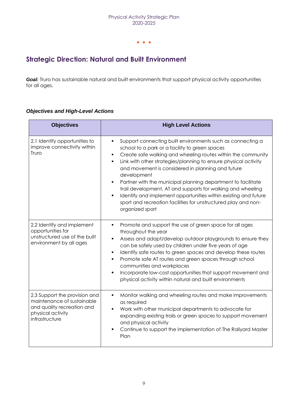## <span id="page-9-0"></span>**Strategic Direction: Natural and Built Environment**

*Goal:* Truro has sustainable natural and built environments that support physical activity opportunities for all ages.

| <b>Objectives</b>                                                                                                                | <b>High Level Actions</b>                                                                                                                                                                                                                                                                                                                                                                                                                                                                                                                                                                                                                                             |
|----------------------------------------------------------------------------------------------------------------------------------|-----------------------------------------------------------------------------------------------------------------------------------------------------------------------------------------------------------------------------------------------------------------------------------------------------------------------------------------------------------------------------------------------------------------------------------------------------------------------------------------------------------------------------------------------------------------------------------------------------------------------------------------------------------------------|
| 2.1 Identify opportunities to<br>improve connectivity within<br>Truro                                                            | Support connecting built environments such as connecting a<br>$\blacksquare$<br>school to a park or a facility to green spaces<br>Create safe walking and wheeling routes within the community<br>Ξ<br>Link with other strategies/planning to ensure physical activity<br>$\blacksquare$<br>and movement is considered in planning and future<br>development<br>Partner with the municipal planning department to facilitate<br>$\blacksquare$<br>trail development, AT and supports for walking and wheeling<br>Identify and implement opportunities within existing and future<br>sport and recreation facilities for unstructured play and non-<br>organized sport |
| 2.2 Identify and implement<br>opportunities for<br>unstructured use of the built<br>environment by all ages                      | Promote and support the use of green space for all ages<br>$\blacksquare$<br>throughout the year<br>Assess and adapt/develop outdoor playgrounds to ensure they<br>can be safely used by children under five years of age<br>Identify safe routes to green spaces and develop these routes<br>٠<br>Promote safe AT routes and green spaces through school<br>٠<br>communities and workplaces<br>Incorporate low-cost opportunities that support movement and<br>physical activity within natural and built environments                                                                                                                                               |
| 2.3 Support the provision and<br>maintenance of sustainable<br>and quality recreation and<br>physical activity<br>infrastructure | Monitor walking and wheeling routes and make improvements<br>as required<br>Work with other municipal departments to advocate for<br>expanding existing trails or green spaces to support movement<br>and physical activity<br>Continue to support the implementation of The Railyard Master<br>Plan                                                                                                                                                                                                                                                                                                                                                                  |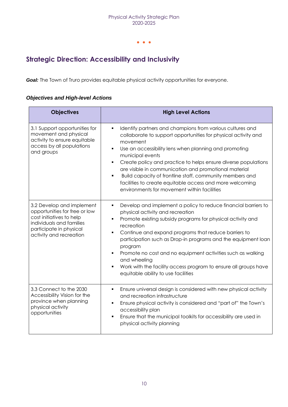## <span id="page-10-0"></span>**Strategic Direction: Accessibility and Inclusivity**

*Goal:* The Town of Truro provides equitable physical activity opportunities for everyone.

| <b>Objectives</b>                                                                                                                                                        | <b>High Level Actions</b>                                                                                                                                                                                                                                                                                                                                                                                                                                                                                                                          |
|--------------------------------------------------------------------------------------------------------------------------------------------------------------------------|----------------------------------------------------------------------------------------------------------------------------------------------------------------------------------------------------------------------------------------------------------------------------------------------------------------------------------------------------------------------------------------------------------------------------------------------------------------------------------------------------------------------------------------------------|
| 3.1 Support opportunities for<br>movement and physical<br>activity to ensure equitable<br>access by all populations<br>and groups                                        | Identify partners and champions from various cultures and<br>٠<br>collaborate to support opportunities for physical activity and<br>movement<br>Use an accessibility lens when planning and promoting<br>municipal events<br>Create policy and practice to helps ensure diverse populations<br>$\blacksquare$<br>are visible in communication and promotional material<br>Build capacity of frontline staff, community members and<br>٠<br>facilities to create equitable access and more welcoming<br>environments for movement within facilities |
| 3.2 Develop and implement<br>opportunities for free or low<br>cost initiatives to help<br>individuals and families<br>participate in physical<br>activity and recreation | Develop and implement a policy to reduce financial barriers to<br>$\blacksquare$<br>physical activity and recreation<br>Promote existing subsidy programs for physical activity and<br>recreation<br>Continue and expand programs that reduce barriers to<br>٠<br>participation such as Drop-in programs and the equipment loan<br>program<br>Promote no cost and no equipment activities such as walking<br>Ξ<br>and wheeling<br>Work with the facility access program to ensure all groups have<br>equitable ability to use facilities           |
| 3.3 Connect to the 2030<br>Accessibility Vision for the<br>province when planning<br>physical activity<br>opportunities                                                  | Ensure universal design is considered with new physical activity<br>٠<br>and recreation infrastructure<br>Ensure physical activity is considered and "part of" the Town's<br>٠<br>accessibility plan<br>Ensure that the municipal toolkits for accessibility are used in<br>٠<br>physical activity planning                                                                                                                                                                                                                                        |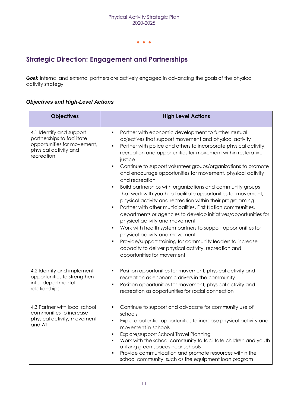## <span id="page-11-0"></span>**Strategic Direction: Engagement and Partnerships**

**Goal:** Internal and external partners are actively engaged in advancing the goals of the physical activity strategy.

| <b>Objectives</b>                                                                                                            | <b>High Level Actions</b>                                                                                                                                                                                                                                                                                                                                                                                                                                                                                                                                                                                                                                                                                                                                                                                                                                                                                                                                                                                                                                                  |
|------------------------------------------------------------------------------------------------------------------------------|----------------------------------------------------------------------------------------------------------------------------------------------------------------------------------------------------------------------------------------------------------------------------------------------------------------------------------------------------------------------------------------------------------------------------------------------------------------------------------------------------------------------------------------------------------------------------------------------------------------------------------------------------------------------------------------------------------------------------------------------------------------------------------------------------------------------------------------------------------------------------------------------------------------------------------------------------------------------------------------------------------------------------------------------------------------------------|
| 4.1 Identify and support<br>partnerships to facilitate<br>opportunities for movement,<br>physical activity and<br>recreation | Partner with economic development to further mutual<br>objectives that support movement and physical activity<br>Partner with police and others to incorporate physical activity,<br>$\blacksquare$<br>recreation and opportunities for movement within restorative<br>justice<br>Continue to support volunteer groups/organizations to promote<br>and encourage opportunities for movement, physical activity<br>and recreation<br>Build partnerships with organizations and community groups<br>٠<br>that work with youth to facilitate opportunities for movement,<br>physical activity and recreation within their programming<br>Partner with other municipalities, First Nation communities,<br>Ξ<br>departments or agencies to develop initiatives/opportunities for<br>physical activity and movement<br>Work with health system partners to support opportunities for<br>physical activity and movement<br>Provide/support training for community leaders to increase<br>٠<br>capacity to deliver physical activity, recreation and<br>opportunities for movement |
| 4.2 Identify and implement<br>opportunities to strengthen<br>inter-departmental<br>relationships                             | Position opportunities for movement, physical activity and<br>٠<br>recreation as economic drivers in the community<br>Position opportunities for movement, physical activity and<br>٠<br>recreation as opportunities for social connection                                                                                                                                                                                                                                                                                                                                                                                                                                                                                                                                                                                                                                                                                                                                                                                                                                 |
| 4.3 Partner with local school<br>communities to increase<br>physical activity, movement<br>and AT                            | Continue to support and advocate for community use of<br>schools<br>Explore potential opportunities to increase physical activity and<br>movement in schools<br>Explore/support School Travel Planning<br>Work with the school community to facilitate children and youth<br>utilizing green spaces near schools<br>Provide communication and promote resources within the<br>school community, such as the equipment loan program                                                                                                                                                                                                                                                                                                                                                                                                                                                                                                                                                                                                                                         |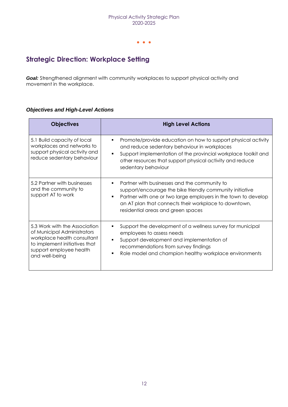## <span id="page-12-0"></span>**Strategic Direction: Workplace Setting**

*Goal:* Strengthened alignment with community workplaces to support physical activity and movement in the workplace.

| <b>Objectives</b>                                                                                                                                                         | <b>High Level Actions</b>                                                                                                                                                                                                                                                      |
|---------------------------------------------------------------------------------------------------------------------------------------------------------------------------|--------------------------------------------------------------------------------------------------------------------------------------------------------------------------------------------------------------------------------------------------------------------------------|
| 5.1 Build capacity of local<br>workplaces and networks to<br>support physical activity and<br>reduce sedentary behaviour                                                  | Promote/provide education on how to support physical activity<br>and reduce sedentary behaviour in workplaces<br>Support implementation of the provincial workplace toolkit and<br>other resources that support physical activity and reduce<br>sedentary behaviour            |
| 5.2 Partner with businesses<br>and the community to<br>support AT to work                                                                                                 | Partner with businesses and the community to<br>support/encourage the bike friendly community initiative<br>Partner with one or two large employers in the town to develop<br>٠<br>an AT plan that connects their workplace to downtown,<br>residential areas and green spaces |
| 5.3 Work with the Association<br>of Municipal Administrators<br>workplace health consultant<br>to implement initiatives that<br>support employee health<br>and well-being | Support the development of a wellness survey for municipal<br>employees to assess needs<br>Support development and implementation of<br>recommendations from survey findings<br>Role model and champion healthy workplace environments                                         |